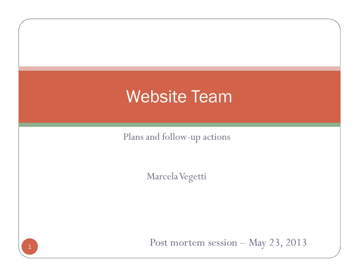## Website Team

Plans and follow-up actions

Marcela Vegetti

1

Post mortem session – May 23, 2013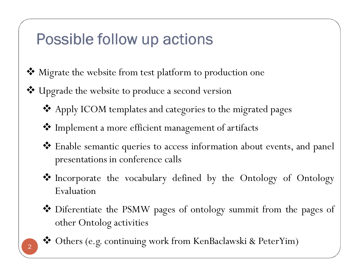### Possible follow up actions

- **\*** Migrate the website from test platform to production one
- \* Upgrade the website to produce a second version
	- Apply ICOM templates and categories to the migrated pages
	- Implement <sup>a</sup> more efficient managemen<sup>t</sup> of artifacts
	- \* Enable semantic queries to access information about events, and panel presentations in conference calls
	- \* Incorporate the vocabulary defined by the Ontology of Ontology<br>Evaluation Evaluation
	- \* Diferentiate the PSMW pages of ontology summit from the pages of other Ontolog activities other Ontolog activities



Others (e.g. continuing work from KenBaclawski & PeterYim)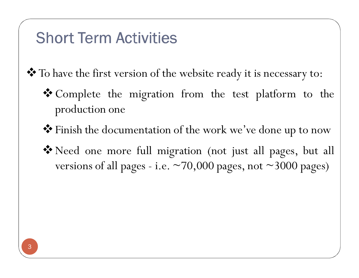#### **Short Term Activities**

\* To have the first version of the website ready it is necessary to:

- Complete the migration from the test <sup>p</sup>latform to the production one
- Finish the documentation of the work we've done up to now
- Need one more full migration (not just all pages, but all versions of all pages - i.e.  $\sim$  70,000 pages, not  $\sim$  3000 pages)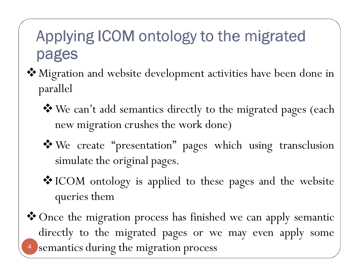### Applying ICOM ontology to the migrated pages

- Migration and website development activities have been done in parallel
	- We can't add semantics directly to the migrated pages (each new migration crushes the work done)
	- We create "presentation" pages which using transclusion simulate the original pages.
	- ICOM ontology is applied to these pages and the website queries them
- 4Once the migration process has finished we can apply semantic directly to the migrated pages or we may even apply some semantics during the migration process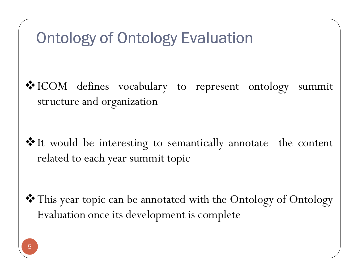#### Ontology of Ontology Evaluation

- ICOM defines vocabulary to represen<sup>t</sup> ontology summit structure and organization
- It would be interesting to semantically annotate the content related to each year summit topic

This year topic can be annotated with the Ontology of Ontology Evaluation once its development is complete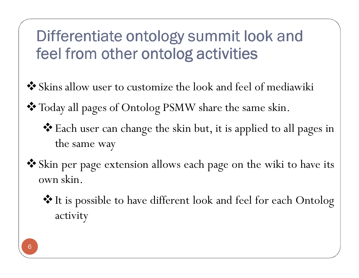# Differentiate ontology summit look and feel from other ontolog activities

- Skins allow user to customize the look and feel of mediawiki
- Today all pages of Ontolog PSMW share the same skin.
	- Each user can change the skin but, it is applied to all pages in the same way
- Skin per page extension allows each page on the wiki to have its own skin.
	- It is possible to have different look and feel for each Ontolog activity